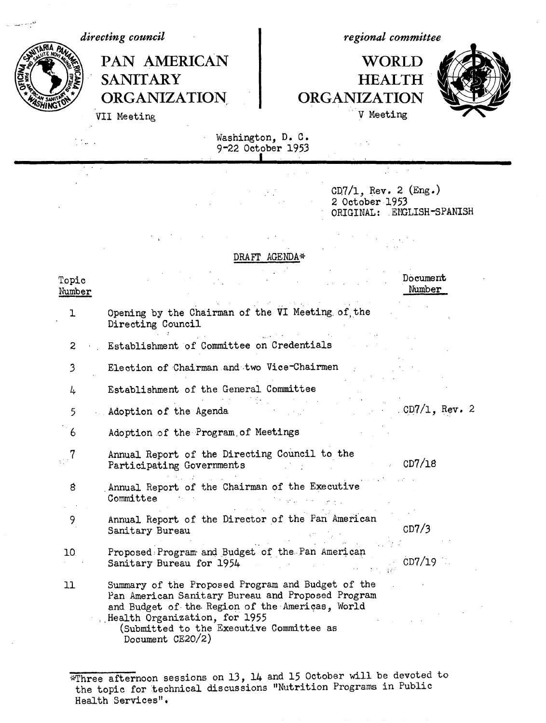*directing council*

*regional committee*

## PAN AMERICAN NORLD SANITARY HEALTH<br>ORGANIZATION ORGANIZATION VII Meeting **V** Meeting

 $\mathcal{L} \subset \mathcal{L}$ 



**~,** ~ORGANIZATION **ORGANIZATION**

Washington, D. C. 9-22 October 1953

|  | $CD7/1$ , Rev. 2 (Eng.)<br>2 October 1953<br>ORIGINAL: ENGLISH-SPANISH |
|--|------------------------------------------------------------------------|

## DRAFT AGENDA\*

| Topic<br>Number |                                                                                                                                                                                                                                                            | Document<br>Number |
|-----------------|------------------------------------------------------------------------------------------------------------------------------------------------------------------------------------------------------------------------------------------------------------|--------------------|
| 1               | Opening by the Chairman of the VI Meeting of the<br>Directing Council                                                                                                                                                                                      |                    |
| $\overline{c}$  | Establishment of Committee on Credentials                                                                                                                                                                                                                  |                    |
| 3               | Election of Chairman and two Vice-Chairmen                                                                                                                                                                                                                 |                    |
| 4               | Establishment of the General Committee                                                                                                                                                                                                                     |                    |
| 5               | Adoption of the Agenda                                                                                                                                                                                                                                     | $CD7/1$ , Rev. 2   |
| 6               | Adoption of the Program of Meetings                                                                                                                                                                                                                        |                    |
|                 | Annual Report of the Directing Council to the<br>Participating Governments                                                                                                                                                                                 | CD7/18             |
| 8               | Annual Report of the Chairman of the Executive<br>Committee                                                                                                                                                                                                |                    |
| 9               | Annual Report of the Director of the Pan American<br>Sanitary Bureau                                                                                                                                                                                       | CD7/3              |
| 10              | Proposed Program and Budget of the Pan American<br>Sanitary Bureau for 1954                                                                                                                                                                                | CD7/19             |
| 11              | Summary of the Proposed Program and Budget of the<br>Pan American Sanitary Bureau and Proposed Program<br>and Budget of the Region of the Americas, World<br>Health Organization, for 1955<br>(Submitted to the Executive Committee as<br>Document CE20/2) |                    |

 $\sqrt{\pi}$ Three afternoon sessions on 13, 14 and 15 October will be devoted to the topic for technical discussions "Nutrition Programs in Public Health Services".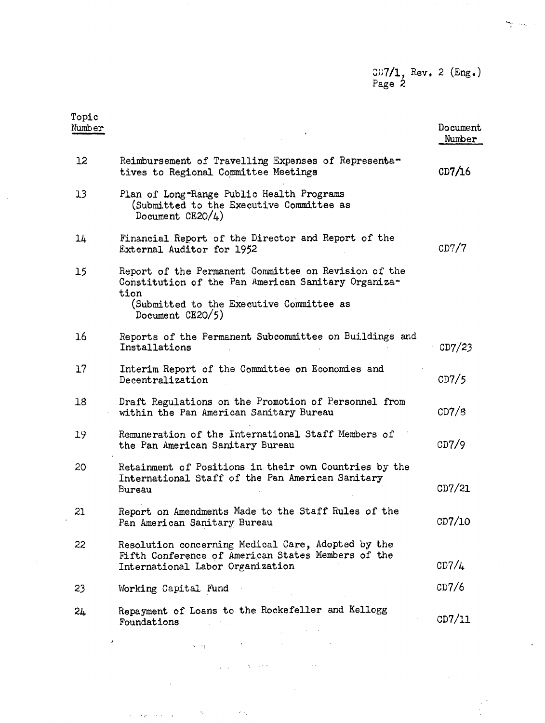## CD7**/1, Rev. 2 (Eng.)** Page 2

| Topic<br>Number |                                                                                                                                                                 | Document<br>Number |
|-----------------|-----------------------------------------------------------------------------------------------------------------------------------------------------------------|--------------------|
| 12              | Reimbursement of Travelling Expenses of Representa-<br>tives to Regional Committee Meetings                                                                     | CD7/16             |
| 13              | Plan of Long-Range Public Health Programs<br>(Submitted to the Executive Committee as<br>Document $CE20/4$ )                                                    |                    |
| 14              | Financial Report of the Director and Report of the<br>External Auditor for 1952                                                                                 | CD7/7              |
| 15              | Report of the Permanent Committee on Revision of the<br>Constitution of the Pan American Sanitary Organiza-<br>tion<br>(Submitted to the Executive Committee as |                    |
|                 | Document CE20/5)                                                                                                                                                |                    |
| 16              | Reports of the Permanent Subcommittee on Buildings and<br>Installations                                                                                         | CD7/23             |
| 17              | Interim Report of the Committee on Economies and<br>Decentralization                                                                                            | CD7/5              |
| 18              | Draft Regulations on the Promotion of Personnel from<br>within the Pan American Sanitary Bureau                                                                 | CD7/8              |
| 19              | Remuneration of the International Staff Members of<br>the Pan American Sanitary Bureau                                                                          | CD7/9              |
| 20              | Retainment of Positions in their own Countries by the<br>International Staff of the Pan American Sanitary<br>Bureau                                             | CD7/21             |
| 21              | Report on Amendments Made to the Staff Rules of the<br>Pan American Sanitary Bureau                                                                             | CD7/10             |
| 22              | Resolution concerning Medical Care, Adopted by the<br>Fifth Conference of American States Members of the<br>International Labor Organization                    | CD7/4              |
| 23              | Working Capital Fund                                                                                                                                            | CD7/6              |
| 24              | Repayment of Loans to the Rockefeller and Kellogg<br>Foundations                                                                                                | CD7/11             |

 $\ddot{\phantom{0}}$ 

 $\pmb{\cdot}$ 

 $\sim$   $\sim$ 

 $\langle \hat{S}_{\alpha} \rangle$ 

 $\bar{z}$ 

 $\hat{\beta}_1=\hat{\beta}_2\hat{\sigma}_1+\hat{\sigma}_2\hat{\sigma}_2+\hat{\sigma}_3$ 

 $\bar{r}$ 

 $\mathcal{L}(\cdot)_{\mathcal{C}}$ 

 $\sqrt{\beta}$  .

 $\eta=1+\epsilon$ 

 $\ddot{\phantom{1}}$  .

 $\frac{\partial \phi_{\alpha}}{\partial \beta}$  , and

 $\bar{z}$ 

 $\sim$   $\sim$